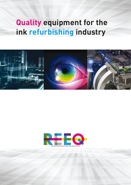# **Quality equipment for the ink refurbishing industry**



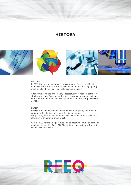### **HISTORY**



#### **HISTORY**

In 2008, the design and engineering company "Fons op het Roodt Industrial Design" was asked to develop and build some high quality machines for the ink cartridge refurbishing industry.

After completing the project very successful more request came for similar machines. Together with a select group of strategic partners, Fons op het Roodt Industrial Design founded the new company REEQ in 2015.

#### FOCUS

REEQ's aim is to develop, design and build high quality and efficient equipment for the ink cartridge refurbishing industry. Our primary focus is on companies who want boost their growth and efficiency with a minimum of effort.

With a REEQ refurbishing production line (cleaning , filling and milling machine) a capacity of over 100.000 units per year with just 1 operator can easily be achieved.

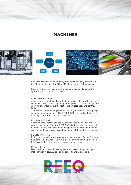### **MACHINES**



When refurbishing ink cartridges, three machines play a major role : the Cleaning Machine, the Milling Machine and the Filling Machine.

Our new 700-series machines and tools are designed and built to optimize your production process.

#### CLEANING MACHINE

A high quality and efficient refurbishing process starts with a perfect cleaned cartridge at the beginning of the process. A clean sponge and open ink channels makes the rest of the process easy and controllable.

The REEQ CC700 Cleaning Machine is a fully automatic working, high capacity cleaning machine. The REEQ CC700 can handle all kinds of cartridges from HP, Canon and Lexmark.

#### MILLING MACHINE

Changing small cartridges into XL cartridges is the easiest and fastest way to earn money. The new REEQ CM700 milling machine makes this happen. The key principles in the design of the new milling machine are a high efficiency process and top quality of the milled cartridges.

#### FILLING MACHINE

Filling cartridges in a fast, precise and can be a hell of a job. Our new filling machine REEQ CF700-SA is a semi-automatic filling machine. It fills 24 cartridges at a time with a very high accuracy.

#### INVESTMENT.

New machines means investing. We are always willing to visit you, make efficiency calculations and discuss financial possibilities.

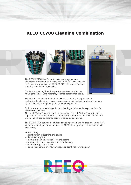### **REEQ CC700 Cleaning Combination**



The REEQ CC7700 is a full automatic working cleaning and drying machine. With a capacity of over 1700 cartridges in an 8-hour working day, the REEQ CC700 is the most effecient cleaning machine on the market.

During the cleaning time the operator can take care for the milling machine, filling machine, or other operational tasks.



The new developed software on the REEQ CC700 makes it possible to customize the cleaning program to your own needs such as number of washing cycles, washing time, pulsing time, spinning speed, etc.

Options are an automatic injection for cleaning solution and a separate inlet for demineralized water.

Also a Ink-Water Separation Valve is an option. The Ink-Water Separation Valve separates the ink form the first spinning cycle from the rest of the waste ink and water. The ink can be drained separate or collected in cans.

The REEQ CC700 can handle all brands and types of ink cartridges on the market. When new cartridges enter the market, REEQ will support you with extra tools if necessarily.

Summarizing :

- a combination of cleaning and drying
- adjustable program
- automatic cleaning solution inlet and dosing
- automatic demineralized water inlet and dosing
- Ink-Water Separation Valve
- cleaning capacity over 1700 cartridges an eight-hour working day

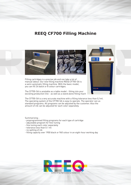### **REEQ CF700 Filling Machine**



Filling cartridges is a precise job and can take a lot of manual labour. Our new filling machine REEQ CF700-SA is a semi-automatic filling machine. With the basic model, you can fill 24 balck or 8 colour cartridges.

The CF700-SA is avialable as a table model - fitting into your excisting production line - as well as a stand alone filling machi 8444

The CF700-SA is a very accurate machine with a filling tolerance less than 0,1ml. The operating system of the CF700-SA is easy to operate. The operator can us standard programs. All programs can be adjusted by the customer. Also the amount of ink can be adjusted for each color separately.

Summarizing :

- preprogrammed filling programs for each type of cartridge
- adjustable program for fine-tuning
- fine tuning each color separately
- tolerance less than 0.1 ml
- no spilling of ink
- filling capacity over 1900 black or 960 colour in an eight-hour working day

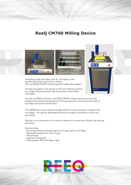### **ReeQ CM700 Milling Device**



Changing small cartridges into XL cartridges is the easiest and fastest way to earn money. The new REEQ CM700 milling machine makes this happen.



The key principles in the design of the new milling machine are a high efficient process and top quality of the milled cartridges.

Like all the REEQ machines, the REEQ CM700 milling machine works fully autmatically with pre-programmed milling programs. Just choose the type of cartridge and hit the Start button.

The CM700 has a quick-load cartridge holder for easy and quick change of the cartridges. The special developed milling tool makes it possible to work very accurately.

Optional is an connection for a vacuum cleaner to remove the milling chips during operating.

Summarizing :

- pre-programmed milling programs for each type of cartridge
- adjustable program for fine-tuning
- very precise
- speciaal milling tool
- milling about 700 cartridges a day

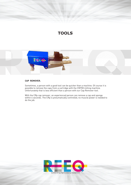## **TOOLS**



#### **CAP REMOVER.**

Sometimes, a person with a good tool can be quicker than a machine. Of course it is possible to remove the caps from a cartridge with the CM700 milling machine. Unfortunately that is less efficient than a person with our Cap Remover tool.

With the CRp cap remover, an experienced person can remove a cap and sponge within 4 seconds. The CRp is pneumatically controlled, no muscle power is needed to do the job.